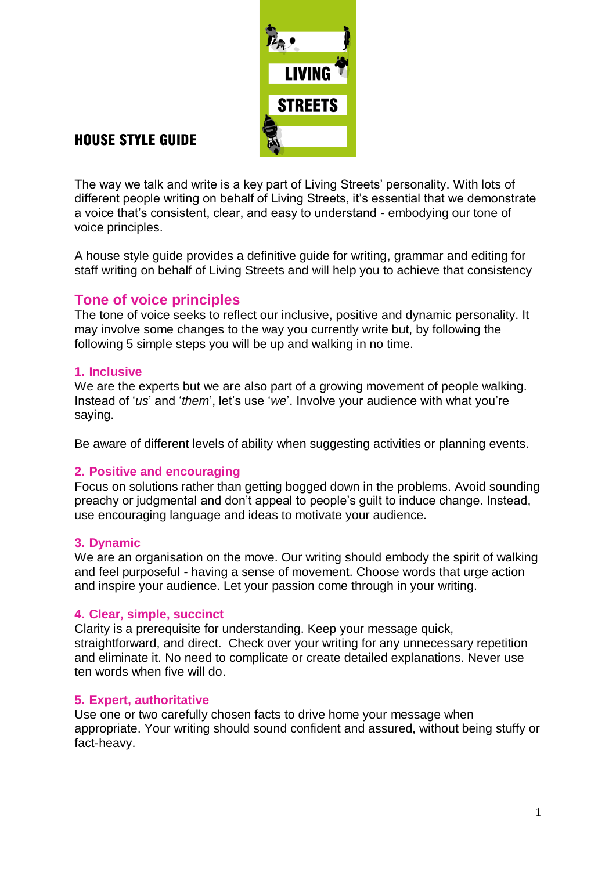

# HOUSE STYLE GUIDE

The way we talk and write is a key part of Living Streets" personality. With lots of different people writing on behalf of Living Streets, it"s essential that we demonstrate a voice that"s consistent, clear, and easy to understand - embodying our tone of voice principles.

A house style guide provides a definitive guide for writing, grammar and editing for staff writing on behalf of Living Streets and will help you to achieve that consistency

# **Tone of voice principles**

The tone of voice seeks to reflect our inclusive, positive and dynamic personality. It may involve some changes to the way you currently write but, by following the following 5 simple steps you will be up and walking in no time.

# **1. Inclusive**

We are the experts but we are also part of a growing movement of people walking. Instead of 'us' and 'them', let's use 'we'. Involve your audience with what you're saying.

Be aware of different levels of ability when suggesting activities or planning events.

# **2. Positive and encouraging**

Focus on solutions rather than getting bogged down in the problems. Avoid sounding preachy or judgmental and don"t appeal to people"s guilt to induce change. Instead, use encouraging language and ideas to motivate your audience.

# **3. Dynamic**

We are an organisation on the move. Our writing should embody the spirit of walking and feel purposeful - having a sense of movement. Choose words that urge action and inspire your audience. Let your passion come through in your writing.

# **4. Clear, simple, succinct**

Clarity is a prerequisite for understanding. Keep your message quick, straightforward, and direct. Check over your writing for any unnecessary repetition and eliminate it. No need to complicate or create detailed explanations. Never use ten words when five will do.

# **5. Expert, authoritative**

Use one or two carefully chosen facts to drive home your message when appropriate. Your writing should sound confident and assured, without being stuffy or fact-heavy.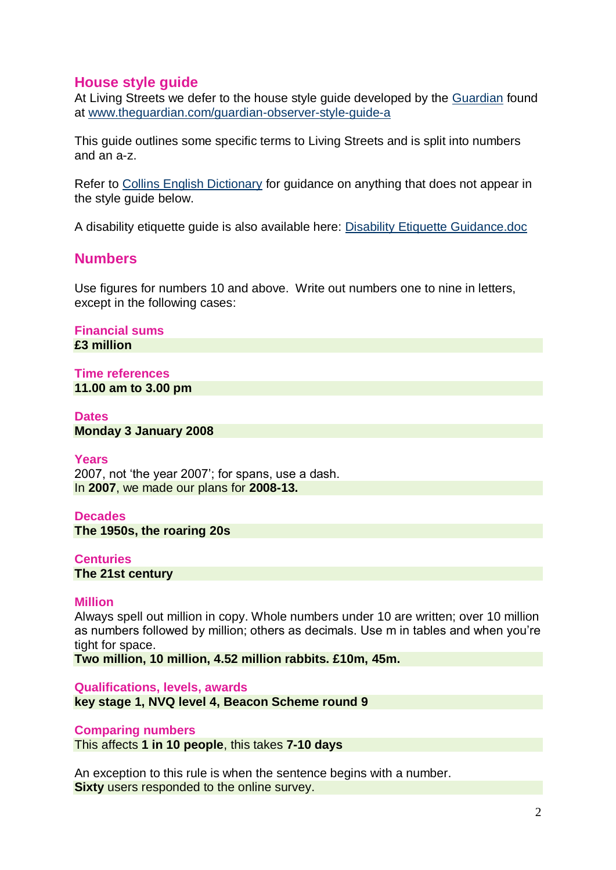# **House style guide**

At Living Streets we defer to the house style guide developed by the [Guardian](http://www.theguardian.com/guardian-observer-style-guide-a) found at [www.theguardian.com/guardian-observer-style-guide-a](http://www.theguardian.com/guardian-observer-style-guide-a)

This guide outlines some specific terms to Living Streets and is split into numbers and an a-z.

Refer to [Collins English Dictionary](http://www.collinsdictionary.com/) for guidance on anything that does not appear in the style guide below.

A disability etiquette guide is also available here: [Disability Etiquette Guidance.doc](Disability%20Etiquette%20Guidance.doc)

# **Numbers**

Use figures for numbers 10 and above. Write out numbers one to nine in letters, except in the following cases:

**Financial sums £3 million** 

# **Time references 11.00 am to 3.00 pm**

# **Dates**

**Monday 3 January 2008** 

#### **Years**

2007, not "the year 2007"; for spans, use a dash. In **2007**, we made our plans for **2008-13.**

#### **Decades**

**The 1950s, the roaring 20s** 

#### **Centuries**

**The 21st century** 

# **Million**

Always spell out million in copy. Whole numbers under 10 are written; over 10 million as numbers followed by million; others as decimals. Use m in tables and when you"re tight for space.

**Two million, 10 million, 4.52 million rabbits. £10m, 45m.**

**Qualifications, levels, awards**

**key stage 1, NVQ level 4, Beacon Scheme round 9**

#### **Comparing numbers**

This affects **1 in 10 people**, this takes **7-10 days**

An exception to this rule is when the sentence begins with a number. **Sixty** users responded to the online survey.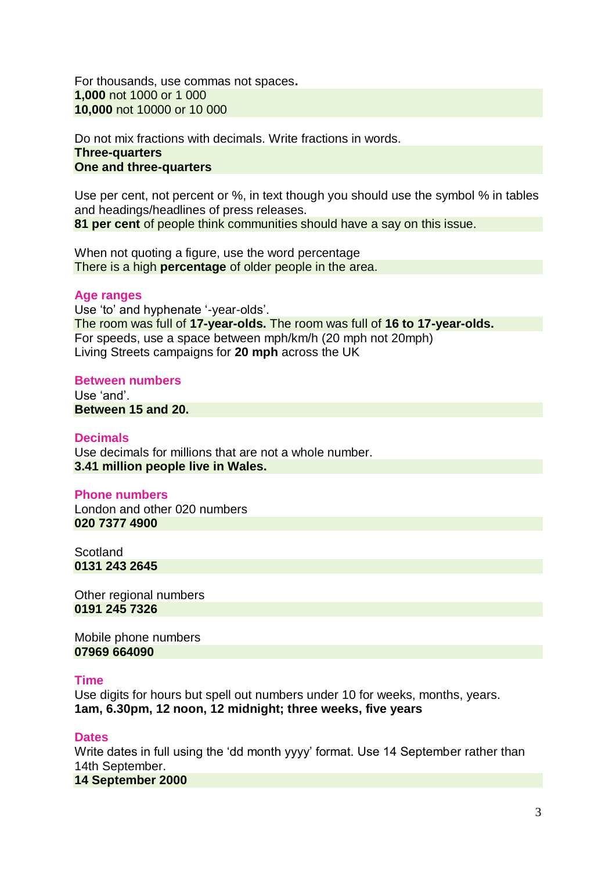For thousands, use commas not spaces**. 1,000** not 1000 or 1 000 **10,000** not 10000 or 10 000

Do not mix fractions with decimals. Write fractions in words. **Three-quarters One and three-quarters** 

Use per cent, not percent or %, in text though you should use the symbol % in tables and headings/headlines of press releases.

**81 per cent** of people think communities should have a say on this issue.

When not quoting a figure, use the word percentage There is a high **percentage** of older people in the area.

# **Age ranges**

Use 'to' and hyphenate '-year-olds'. The room was full of **17-year-olds.** The room was full of **16 to 17-year-olds.** For speeds, use a space between mph/km/h (20 mph not 20mph) Living Streets campaigns for **20 mph** across the UK

# **Between numbers**

Use "and". **Between 15 and 20.**

# **Decimals**

Use decimals for millions that are not a whole number. **3.41 million people live in Wales.**

# **Phone numbers**

London and other 020 numbers **020 7377 4900** 

**Scotland 0131 243 2645**

Other regional numbers **0191 245 7326** 

Mobile phone numbers **07969 664090** 

# **Time**

Use digits for hours but spell out numbers under 10 for weeks, months, years. **1am, 6.30pm, 12 noon, 12 midnight; three weeks, five years**

# **Dates**

Write dates in full using the "dd month yyyy" format. Use 14 September rather than 14th September.

**14 September 2000**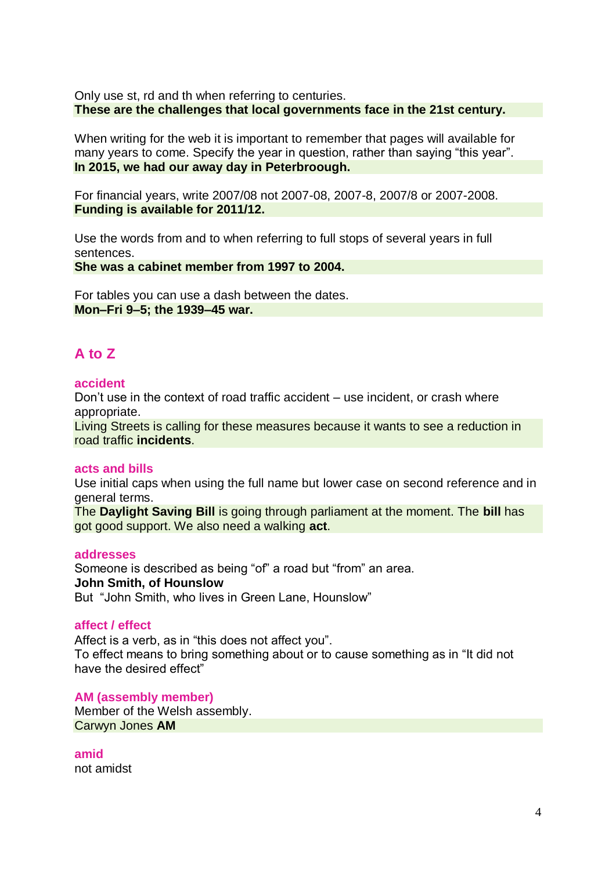Only use st, rd and th when referring to centuries. **These are the challenges that local governments face in the 21st century.** 

When writing for the web it is important to remember that pages will available for many years to come. Specify the year in question, rather than saying "this year". **In 2015, we had our away day in Peterbroough.**

For financial years, write 2007/08 not 2007-08, 2007-8, 2007/8 or 2007-2008. **Funding is available for 2011/12.** 

Use the words from and to when referring to full stops of several years in full sentences.

**She was a cabinet member from 1997 to 2004.** 

For tables you can use a dash between the dates. **Mon–Fri 9–5; the 1939–45 war.**

# **A to Z**

# **accident**

Don"t use in the context of road traffic accident – use incident, or crash where appropriate.

Living Streets is calling for these measures because it wants to see a reduction in road traffic **incidents**.

# **acts and bills**

Use initial caps when using the full name but lower case on second reference and in general terms.

The **Daylight Saving Bill** is going through parliament at the moment. The **bill** has got good support. We also need a walking **act**.

# **addresses**

Someone is described as being "of" a road but "from" an area. **John Smith, of Hounslow** But "John Smith, who lives in Green Lane, Hounslow"

# **affect / effect**

Affect is a verb, as in "this does not affect you". To effect means to bring something about or to cause something as in "It did not have the desired effect"

**AM (assembly member)**  Member of the Welsh assembly. Carwyn Jones **AM**

**amid**  not amidst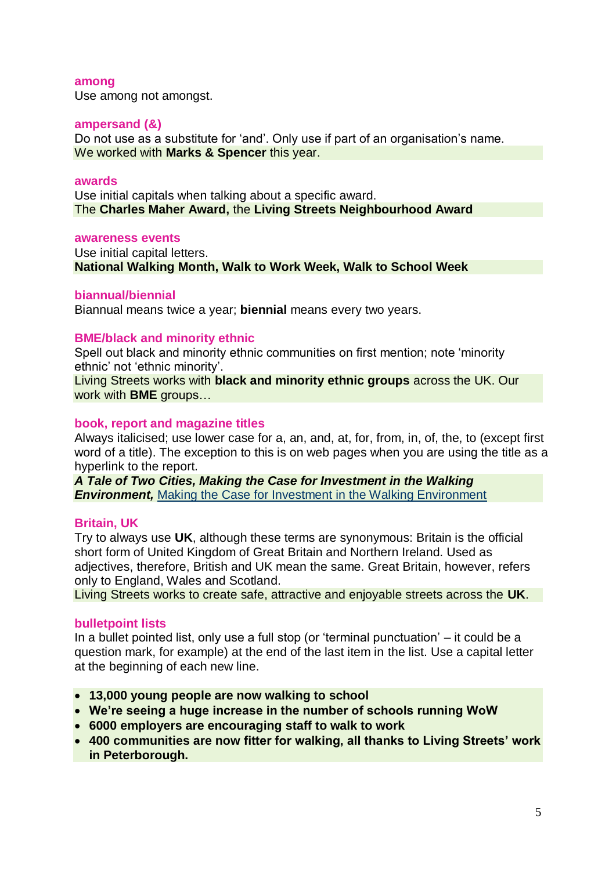#### **among**

Use among not amongst.

# **ampersand (&)**

Do not use as a substitute for 'and'. Only use if part of an organisation's name. We worked with **Marks & Spencer** this year.

# **awards**

Use initial capitals when talking about a specific award. The **Charles Maher Award,** the **Living Streets Neighbourhood Award**

# **awareness events**

Use initial capital letters. **National Walking Month, Walk to Work Week, Walk to School Week**

# **biannual/biennial**

Biannual means twice a year; **biennial** means every two years.

# **BME/black and minority ethnic**

Spell out black and minority ethnic communities on first mention; note "minority ethnic' not 'ethnic minority'.

Living Streets works with **black and minority ethnic groups** across the UK. Our work with **BME** groups…

# **book, report and magazine titles**

Always italicised; use lower case for a, an, and, at, for, from, in, of, the, to (except first word of a title). The exception to this is on web pages when you are using the title as a hyperlink to the report.

*A Tale of Two Cities, Making the Case for Investment in the Walking*  **Environment,** [Making the Case for Investment in the Walking Environment](http://www.livingstreets.org.uk/makingthecase)

# **Britain, UK**

Try to always use **UK**, although these terms are synonymous: Britain is the official short form of United Kingdom of Great Britain and Northern Ireland. Used as adjectives, therefore, British and UK mean the same. Great Britain, however, refers only to England, Wales and Scotland.

Living Streets works to create safe, attractive and enjoyable streets across the **UK**.

# **bulletpoint lists**

In a bullet pointed list, only use a full stop (or "terminal punctuation" – it could be a question mark, for example) at the end of the last item in the list. Use a capital letter at the beginning of each new line.

- **13,000 young people are now walking to school**
- **We"re seeing a huge increase in the number of schools running WoW**
- **6000 employers are encouraging staff to walk to work**
- **400 communities are now fitter for walking, all thanks to Living Streets" work in Peterborough.**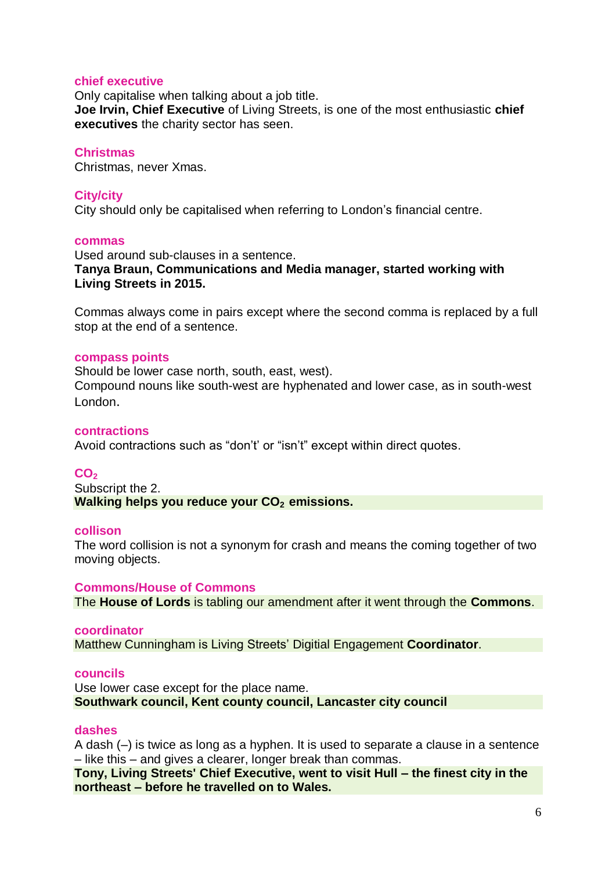# **chief executive**

Only capitalise when talking about a job title. **Joe Irvin, Chief Executive** of Living Streets, is one of the most enthusiastic **chief executives** the charity sector has seen.

# **Christmas**

Christmas, never Xmas.

# **City/city**

City should only be capitalised when referring to London"s financial centre.

# **commas**

Used around sub-clauses in a sentence. **Tanya Braun, Communications and Media manager, started working with Living Streets in 2015.**

Commas always come in pairs except where the second comma is replaced by a full stop at the end of a sentence.

# **compass points**

Should be lower case north, south, east, west). Compound nouns like south-west are hyphenated and lower case, as in south-west London.

# **contractions**

Avoid contractions such as "don't' or "isn't" except within direct quotes.

# **CO<sup>2</sup>**

Subscript the 2. **Walking helps you reduce your CO2 emissions.**

# **collison**

The word collision is not a synonym for crash and means the coming together of two moving objects.

# **Commons/House of Commons**

The **House of Lords** is tabling our amendment after it went through the **Commons**.

# **coordinator**

Matthew Cunningham is Living Streets" Digitial Engagement **Coordinator**.

# **councils**

Use lower case except for the place name. **Southwark council, Kent county council, Lancaster city council**

# **dashes**

A dash (–) is twice as long as a hyphen. It is used to separate a clause in a sentence – like this – and gives a clearer, longer break than commas.

**Tony, Living Streets' Chief Executive, went to visit Hull – the finest city in the northeast – before he travelled on to Wales.**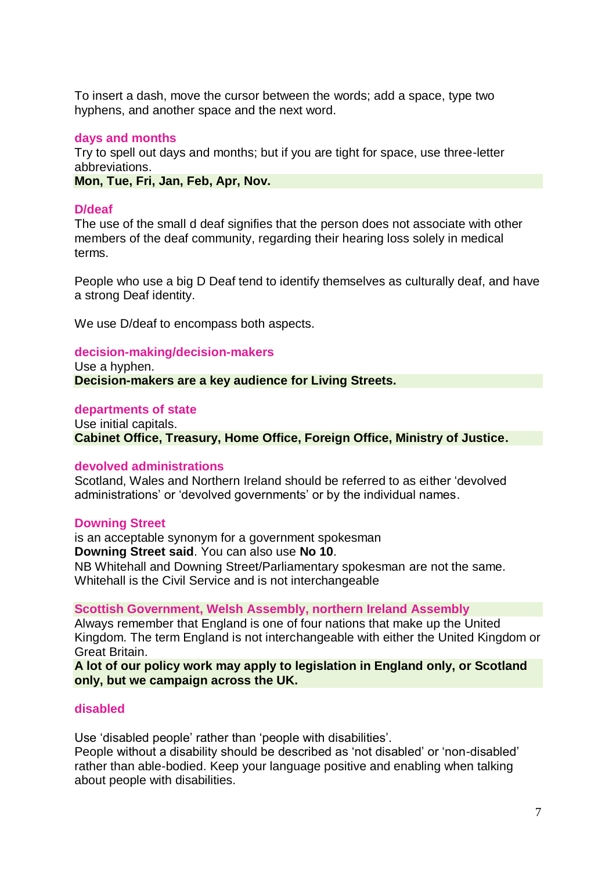To insert a dash, move the cursor between the words; add a space, type two hyphens, and another space and the next word.

# **days and months**

Try to spell out days and months; but if you are tight for space, use three-letter abbreviations.

**Mon, Tue, Fri, Jan, Feb, Apr, Nov.**

# **D/deaf**

The use of the small d deaf signifies that the person does not associate with other members of the deaf community, regarding their hearing loss solely in medical terms.

People who use a big D Deaf tend to identify themselves as culturally deaf, and have a strong Deaf identity.

We use D/deaf to encompass both aspects.

# **decision-making/decision-makers**

Use a hyphen. **Decision-makers are a key audience for Living Streets.**

# **departments of state**

Use initial capitals. **Cabinet Office, Treasury, Home Office, Foreign Office, Ministry of Justice.**

# **devolved administrations**

Scotland, Wales and Northern Ireland should be referred to as either "devolved administrations' or 'devolved governments' or by the individual names.

# **Downing Street**

is an acceptable synonym for a government spokesman **Downing Street said**. You can also use **No 10**. NB Whitehall and Downing Street/Parliamentary spokesman are not the same. Whitehall is the Civil Service and is not interchangeable

#### **Scottish Government, Welsh Assembly, northern Ireland Assembly**

Always remember that England is one of four nations that make up the United Kingdom. The term England is not interchangeable with either the United Kingdom or Great Britain.

**A lot of our policy work may apply to legislation in England only, or Scotland only, but we campaign across the UK.**

# **disabled**

Use 'disabled people' rather than 'people with disabilities'.

People without a disability should be described as "not disabled" or "non-disabled" rather than able-bodied. Keep your language positive and enabling when talking about people with disabilities.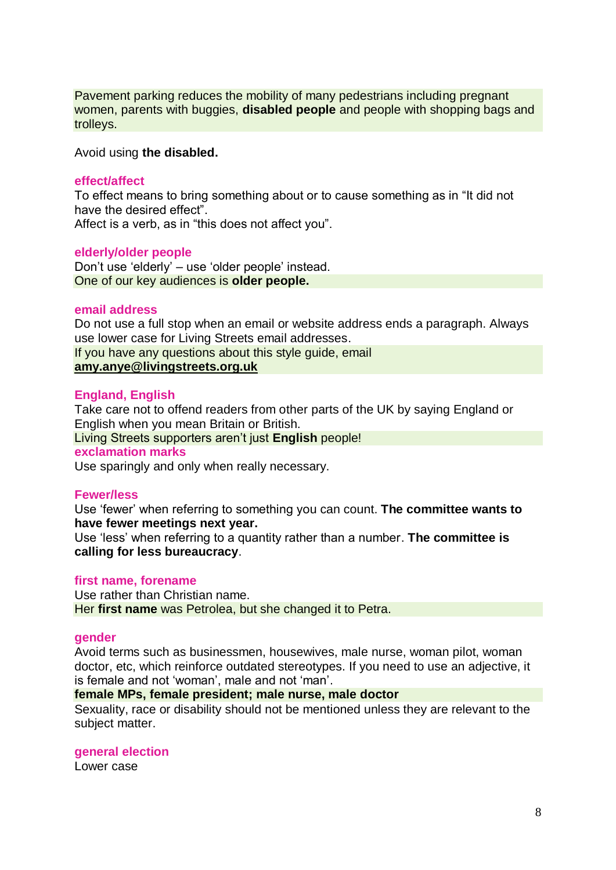Pavement parking reduces the mobility of many pedestrians including pregnant women, parents with buggies, **disabled people** and people with shopping bags and trolleys.

Avoid using **the disabled.**

# **effect/affect**

To effect means to bring something about or to cause something as in "It did not have the desired effect". Affect is a verb, as in "this does not affect you".

# **elderly/older people**

Don"t use "elderly" – use "older people" instead. One of our key audiences is **older people.**

# **email address**

Do not use a full stop when an email or website address ends a paragraph. Always use lower case for Living Streets email addresses.

If you have any questions about this style guide, email **[amy.anye@livingstreets.org.uk](mailto:rosanna.downes@livingstreets.org.uk)**

**England, English**  Take care not to offend readers from other parts of the UK by saying England or English when you mean Britain or British. Living Streets supporters aren"t just **English** people! **exclamation marks**

Use sparingly and only when really necessary.

# **Fewer/less**

Use "fewer" when referring to something you can count. **The committee wants to have fewer meetings next year.**

Use "less" when referring to a quantity rather than a number. **The committee is calling for less bureaucracy**.

# **first name, forename**

Use rather than Christian name. Her **first name** was Petrolea, but she changed it to Petra.

# **gender**

Avoid terms such as businessmen, housewives, male nurse, woman pilot, woman doctor, etc, which reinforce outdated stereotypes. If you need to use an adjective, it is female and not 'woman', male and not 'man'.

# **female MPs, female president; male nurse, male doctor**

Sexuality, race or disability should not be mentioned unless they are relevant to the subject matter.

# **general election**

Lower case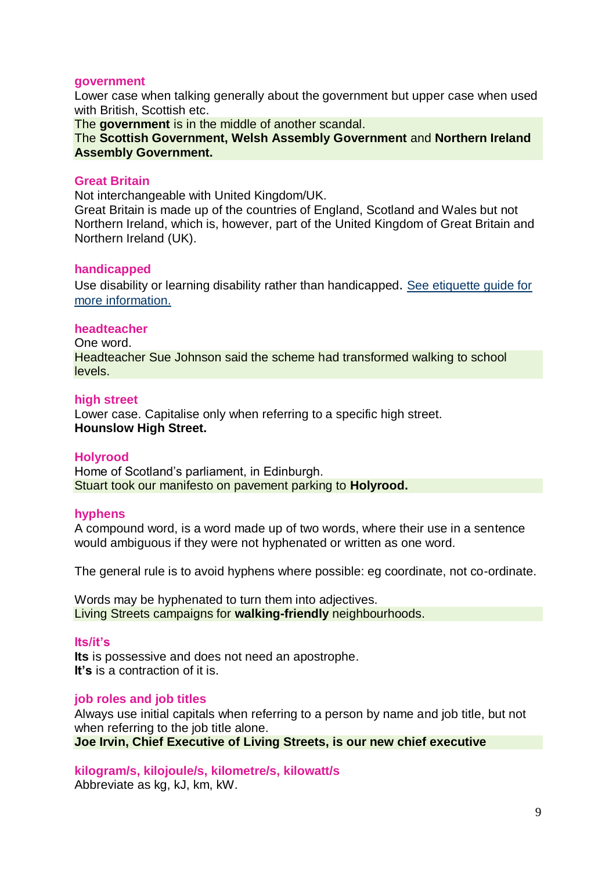# **government**

Lower case when talking generally about the government but upper case when used with British, Scottish etc.

The **government** is in the middle of another scandal.

The **Scottish Government, Welsh Assembly Government** and **Northern Ireland Assembly Government.**

# **Great Britain**

Not interchangeable with United Kingdom/UK.

Great Britain is made up of the countries of England, Scotland and Wales but not Northern Ireland, which is, however, part of the United Kingdom of Great Britain and Northern Ireland (UK).

# **handicapped**

Use disability or learning disability rather than handicapped. [See etiquette guide for](Disability%20Etiquette%20Guidance.doc)  [more information.](Disability%20Etiquette%20Guidance.doc)

# **headteacher**

One word. Headteacher Sue Johnson said the scheme had transformed walking to school levels.

#### **high street**

Lower case. Capitalise only when referring to a specific high street. **Hounslow High Street.**

# **Holyrood**

Home of Scotland"s parliament, in Edinburgh. Stuart took our manifesto on pavement parking to **Holyrood.**

# **hyphens**

A compound word, is a word made up of two words, where their use in a sentence would ambiguous if they were not hyphenated or written as one word.

The general rule is to avoid hyphens where possible: eg coordinate, not co-ordinate.

Words may be hyphenated to turn them into adjectives. Living Streets campaigns for **walking-friendly** neighbourhoods.

#### **Its/it"s**

**Its** is possessive and does not need an apostrophe. **It"s** is a contraction of it is.

# **job roles and job titles**

Always use initial capitals when referring to a person by name and job title, but not when referring to the job title alone. **Joe Irvin, Chief Executive of Living Streets, is our new chief executive** 

# **kilogram/s, kilojoule/s, kilometre/s, kilowatt/s**

Abbreviate as kg, kJ, km, kW.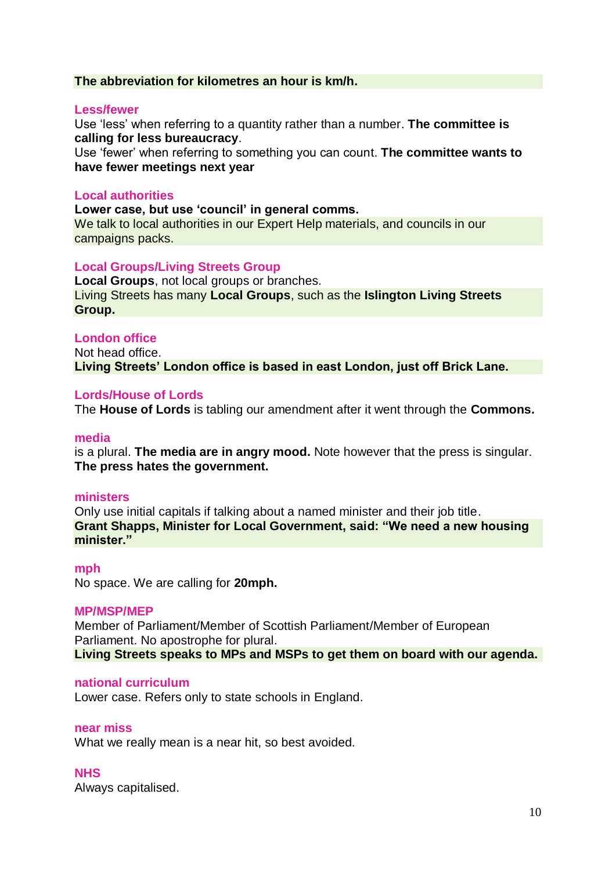# **The abbreviation for kilometres an hour is km/h.**

# **Less/fewer**

Use "less" when referring to a quantity rather than a number. **The committee is calling for less bureaucracy**.

Use "fewer" when referring to something you can count. **The committee wants to have fewer meetings next year**

# **Local authorities**

**Lower case, but use "council" in general comms.** 

We talk to local authorities in our Expert Help materials, and councils in our campaigns packs.

# **Local Groups/Living Streets Group**

**Local Groups**, not local groups or branches. Living Streets has many **Local Groups**, such as the **Islington Living Streets Group.**

# **London office**

Not head office. **Living Streets" London office is based in east London, just off Brick Lane.**

# **Lords/House of Lords**

The **House of Lords** is tabling our amendment after it went through the **Commons.**

#### **media**

is a plural. **The media are in angry mood.** Note however that the press is singular. **The press hates the government.**

# **ministers**

Only use initial capitals if talking about a named minister and their job title. **Grant Shapps, Minister for Local Government, said: "We need a new housing minister."**

#### **mph**

No space. We are calling for **20mph.**

# **MP/MSP/MEP**

Member of Parliament/Member of Scottish Parliament/Member of European Parliament. No apostrophe for plural. **Living Streets speaks to MPs and MSPs to get them on board with our agenda.**

#### **national curriculum**

Lower case. Refers only to state schools in England.

#### **near miss**

What we really mean is a near hit, so best avoided.

# **NHS**

Always capitalised.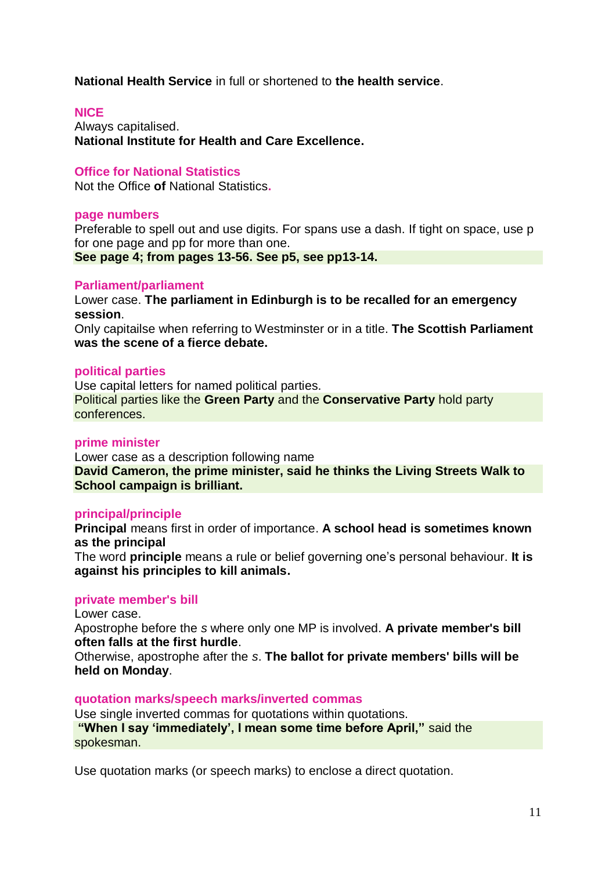**National Health Service** in full or shortened to **the health service**.

# **NICE**

Always capitalised. **National Institute for Health and Care Excellence.**

# **Office for National Statistics**

Not the Office **of** National Statistics**.**

#### **page numbers**

Preferable to spell out and use digits. For spans use a dash. If tight on space, use p for one page and pp for more than one. **See page 4; from pages 13-56. See p5, see pp13-14.**

#### **Parliament/parliament**

Lower case. **The parliament in Edinburgh is to be recalled for an emergency session**.

Only capitailse when referring to Westminster or in a title. **The Scottish Parliament was the scene of a fierce debate.**

#### **political parties**

Use capital letters for named political parties. Political parties like the **Green Party** and the **Conservative Party** hold party conferences.

#### **prime minister**

Lower case as a description following name **David Cameron, the prime minister, said he thinks the Living Streets Walk to School campaign is brilliant.**

# **principal/principle**

**Principal** means first in order of importance. **A school head is sometimes known as the principal**

The word **principle** means a rule or belief governing one"s personal behaviour. **It is against his principles to kill animals.**

#### **private member's bill**

Lower case.

Apostrophe before the *s* where only one MP is involved. **A private member's bill often falls at the first hurdle**.

Otherwise, apostrophe after the *s*. **The ballot for private members' bills will be held on Monday**.

#### **quotation marks/speech marks/inverted commas**

Use single inverted commas for quotations within quotations. **"When I say "immediately", I mean some time before April,"** said the spokesman.

Use quotation marks (or speech marks) to enclose a direct quotation.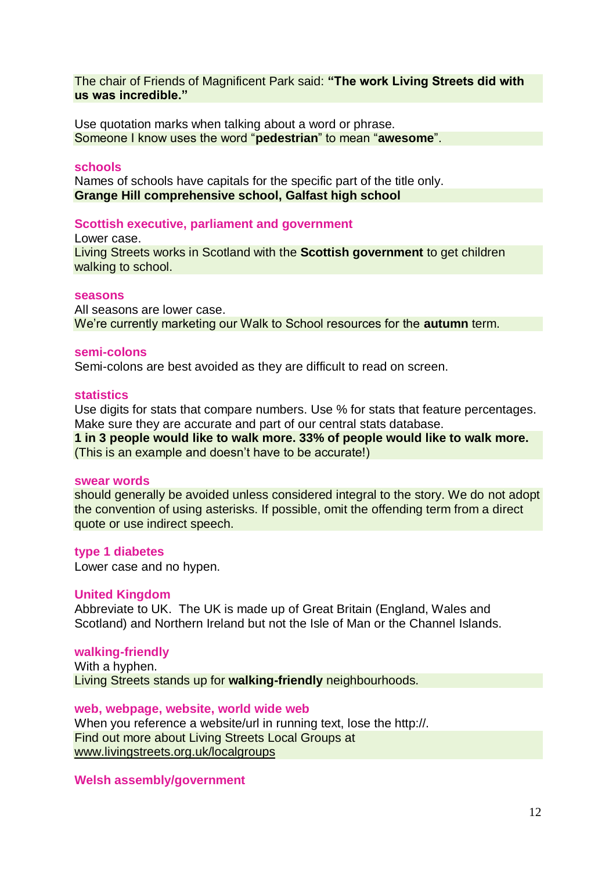The chair of Friends of Magnificent Park said: **"The work Living Streets did with us was incredible."**

Use quotation marks when talking about a word or phrase. Someone I know uses the word "**pedestrian**" to mean "**awesome**".

# **schools**

Names of schools have capitals for the specific part of the title only. **Grange Hill comprehensive school, Galfast high school**

# **Scottish executive, parliament and government**

Lower case. Living Streets works in Scotland with the **Scottish government** to get children walking to school.

# **seasons**

All seasons are lower case. We"re currently marketing our Walk to School resources for the **autumn** term.

# **semi-colons**

Semi-colons are best avoided as they are difficult to read on screen.

# **statistics**

Use digits for stats that compare numbers. Use % for stats that feature percentages. Make sure they are accurate and part of our central stats database.

**1 in 3 people would like to walk more. 33% of people would like to walk more.**  (This is an example and doesn"t have to be accurate!)

#### **swear words**

should generally be avoided unless considered integral to the story. We do not adopt the convention of using asterisks. If possible, omit the offending term from a direct quote or use indirect speech.

# **type 1 diabetes**

Lower case and no hypen.

# **United Kingdom**

Abbreviate to UK. The UK is made up of Great Britain (England, Wales and Scotland) and Northern Ireland but not the Isle of Man or the Channel Islands.

#### **walking-friendly**

With a hyphen. Living Streets stands up for **walking-friendly** neighbourhoods.

**web, webpage, website, world wide web**  When you reference a website/url in running text, lose the http://. Find out more about Living Streets Local Groups at [www.livingstreets.org.uk/localgroups](http://www.livingstreets.org.uk/localgroups)

#### **[Welsh assembly/](http://www.bbc.co.uk/academy/collegeofjournalism/subject-guides/devolution/what-is-devolution)government**